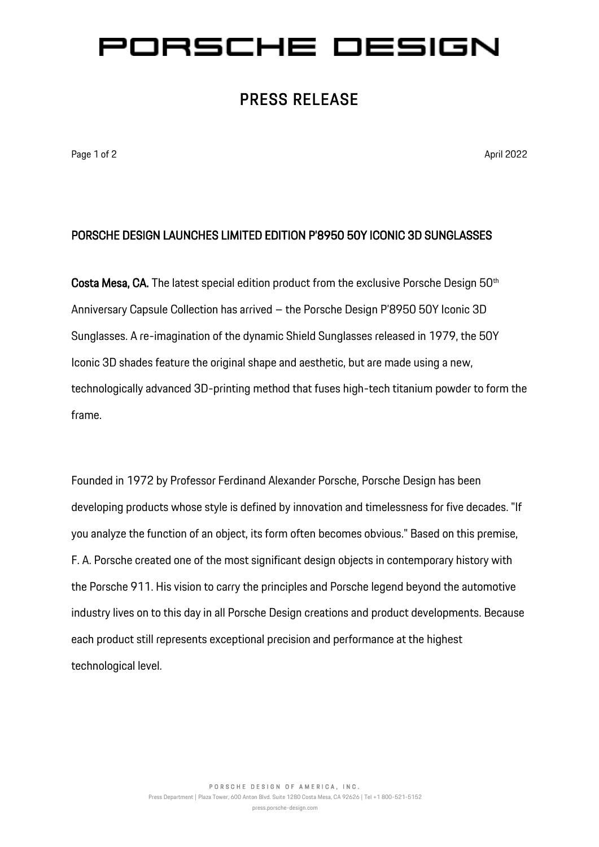# ORSCHE DESIGN

### PRESS RELEASE

Page 1 of 2 April 2022 **April 2022** 

#### PORSCHE DESIGN LAUNCHES LIMITED EDITION P'8950 50Y ICONIC 3D SUNGLASSES

Costa Mesa, CA. The latest special edition product from the exclusive Porsche Design 50<sup>th</sup> Anniversary Capsule Collection has arrived – the Porsche Design P'8950 50Y Iconic 3D Sunglasses. A re-imagination of the dynamic Shield Sunglasses released in 1979, the 50Y Iconic 3D shades feature the original shape and aesthetic, but are made using a new, technologically advanced 3D-printing method that fuses high-tech titanium powder to form the frame.

Founded in 1972 by Professor Ferdinand Alexander Porsche, Porsche Design has been developing products whose style is defined by innovation and timelessness for five decades. "If you analyze the function of an object, its form often becomes obvious." Based on this premise, F. A. Porsche created one of the most significant design objects in contemporary history with the Porsche 911. His vision to carry the principles and Porsche legend beyond the automotive industry lives on to this day in all Porsche Design creations and product developments. Because each product still represents exceptional precision and performance at the highest technological level.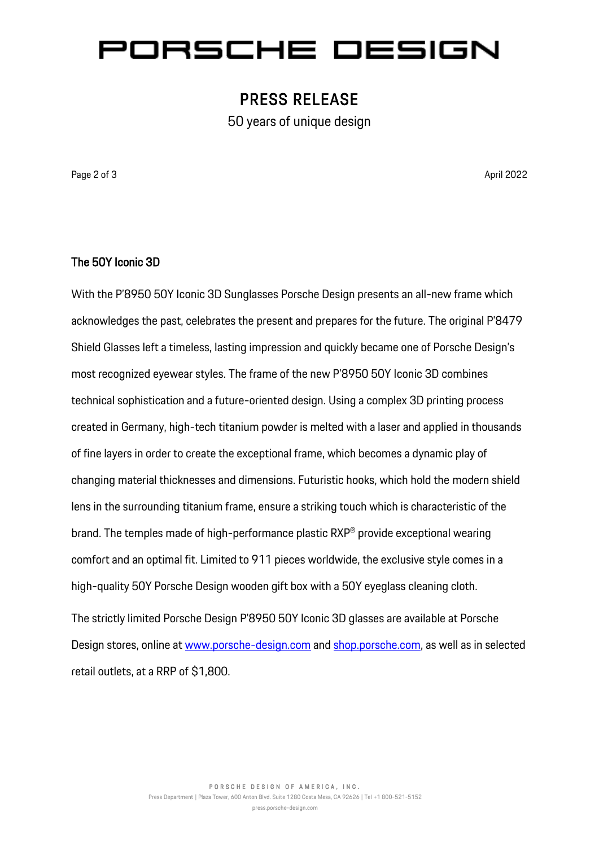## ORSCHE DESIGN

### PRESS RELEASE

50 years of unique design

Page 2 of 3 April 2022

#### The 50Y Iconic 3D

With the P'8950 50Y Iconic 3D Sunglasses Porsche Design presents an all-new frame which acknowledges the past, celebrates the present and prepares for the future. The original P'8479 Shield Glasses left a timeless, lasting impression and quickly became one of Porsche Design's most recognized eyewear styles. The frame of the new P'8950 50Y Iconic 3D combines technical sophistication and a future-oriented design. Using a complex 3D printing process created in Germany, high-tech titanium powder is melted with a laser and applied in thousands of fine layers in order to create the exceptional frame, which becomes a dynamic play of changing material thicknesses and dimensions. Futuristic hooks, which hold the modern shield lens in the surrounding titanium frame, ensure a striking touch which is characteristic of the brand. The temples made of high-performance plastic RXP® provide exceptional wearing comfort and an optimal fit. Limited to 911 pieces worldwide, the exclusive style comes in a high-quality 50Y Porsche Design wooden gift box with a 50Y eyeglass cleaning cloth. The strictly limited Porsche Design P'8950 50Y Iconic 3D glasses are available at Porsche Design stores, online at [www.porsche-design.com](http://www.porsche-design.com/) an[d shop.porsche.com,](http://shop.porsche.com/) as well as in selected

retail outlets, at a RRP of \$1,800.